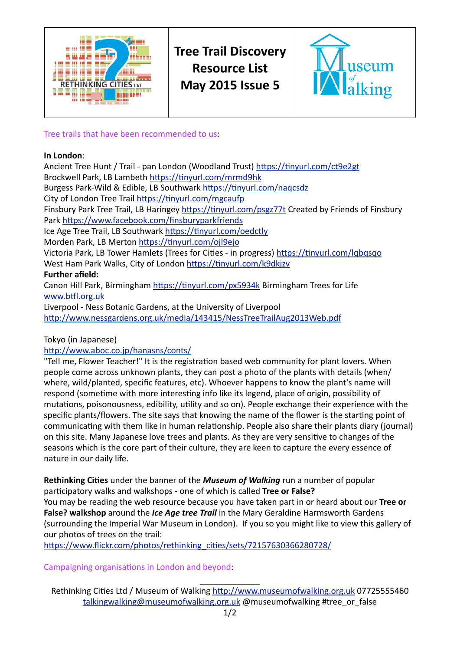

**Tree Trail Discoverv Resource List May 2015 Issue 5** 



Tree trails that have been recommended to us.

## In London:

Ancient Tree Hunt / Trail - pan London (Woodland Trust) https://tinyurl.com/ct9e2gt Brockwell Park, LB Lambeth https://tinyurl.com/mrmd9hk Burgess Park-Wild & Edible, LB Southwark https://tinyurl.com/nagcsdz City of London Tree Trail https://tinyurl.com/mgcaufp Finsbury Park Tree Trail, LB Haringey https://tinyurl.com/psgz77t Created by Friends of Finsbury Park https://www.facebook.com/finsburyparkfriends Ice Age Tree Trail, LB Southwark https://tinyurl.com/oedctly Morden Park, LB Merton https://tinyurl.com/ojl9ejo Victoria Park, LB Tower Hamlets (Trees for Cities - in progress) https://tinyurl.com/lqbqsqo West Ham Park Walks, City of London https://tinyurl.com/k9dkjzv **Further afield:** Canon Hill Park, Birmingham https://tinyurl.com/px5934k Birmingham Trees for Life www.btfl.org.uk Liverpool - Ness Botanic Gardens, at the University of Liverpool http://www.nessgardens.org.uk/media/143415/NessTreeTrailAug2013Web.pdf

Tokyo (in Japanese)

http://www.aboc.co.jp/hanasns/conts/

"Tell me, Flower Teacher!" It is the registration based web community for plant lovers. When people come across unknown plants, they can post a photo of the plants with details (when/ where, wild/planted, specific features, etc). Whoever happens to know the plant's name will respond (sometime with more interesting info like its legend, place of origin, possibility of mutations, poisonousness, edibility, utility and so on). People exchange their experience with the specific plants/flowers. The site says that knowing the name of the flower is the starting point of communicating with them like in human relationship. People also share their plants diary (journal) on this site. Many Japanese love trees and plants. As they are very sensitive to changes of the seasons which is the core part of their culture, they are keen to capture the every essence of nature in our daily life.

Rethinking Cities under the banner of the Museum of Walking run a number of popular participatory walks and walkshops - one of which is called Tree or False? You may be reading the web resource because you have taken part in or heard about our Tree or False? walkshop around the *Ice Age tree Trail* in the Mary Geraldine Harmsworth Gardens (surrounding the Imperial War Museum in London). If you so you might like to view this gallery of our photos of trees on the trail:

https://www.flickr.com/photos/rethinking\_cities/sets/72157630366280728/

Campaigning organisations in London and beyond.

Rethinking Cities Ltd / Museum of Walking http://www.museumofwalking.org.uk 07725555460 talkingwalking@museumofwalking.org.uk @museumofwalking #tree or false